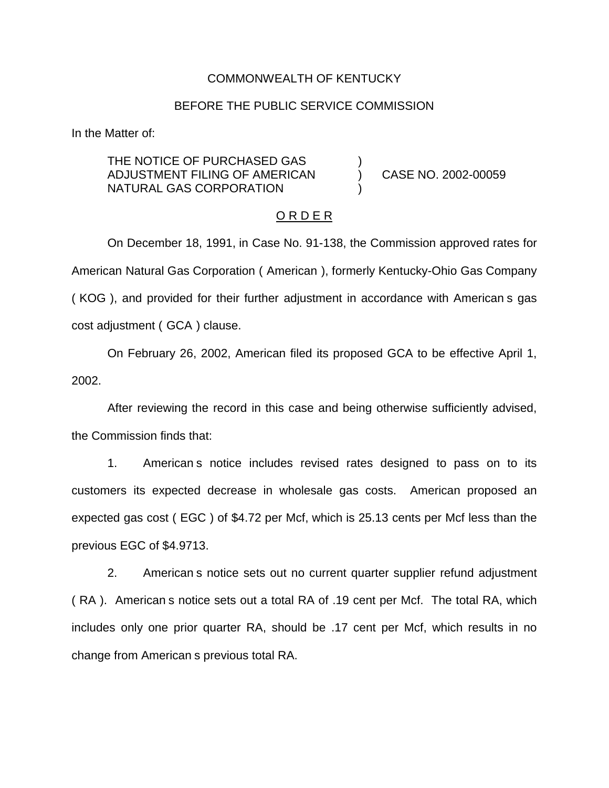### COMMONWEALTH OF KENTUCKY

### BEFORE THE PUBLIC SERVICE COMMISSION

In the Matter of:

THE NOTICE OF PURCHASED GAS ADJUSTMENT FILING OF AMERICAN ) CASE NO. 2002-00059 NATURAL GAS CORPORATION

#### O R D E R

On December 18, 1991, in Case No. 91-138, the Commission approved rates for American Natural Gas Corporation ( American ), formerly Kentucky-Ohio Gas Company ( KOG ), and provided for their further adjustment in accordance with American s gas cost adjustment ( GCA ) clause.

On February 26, 2002, American filed its proposed GCA to be effective April 1, 2002.

After reviewing the record in this case and being otherwise sufficiently advised, the Commission finds that:

1. American s notice includes revised rates designed to pass on to its customers its expected decrease in wholesale gas costs. American proposed an expected gas cost ( EGC ) of \$4.72 per Mcf, which is 25.13 cents per Mcf less than the previous EGC of \$4.9713.

2. American s notice sets out no current quarter supplier refund adjustment ( RA ). American s notice sets out a total RA of .19 cent per Mcf. The total RA, which includes only one prior quarter RA, should be .17 cent per Mcf, which results in no change from American s previous total RA.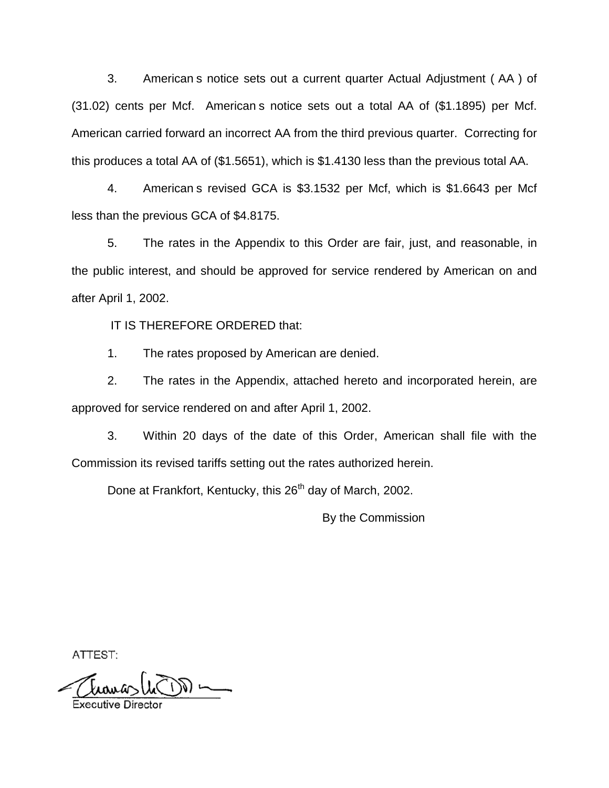3. American s notice sets out a current quarter Actual Adjustment ( AA ) of (31.02) cents per Mcf. American s notice sets out a total AA of (\$1.1895) per Mcf. American carried forward an incorrect AA from the third previous quarter. Correcting for this produces a total AA of (\$1.5651), which is \$1.4130 less than the previous total AA.

4. American s revised GCA is \$3.1532 per Mcf, which is \$1.6643 per Mcf less than the previous GCA of \$4.8175.

5. The rates in the Appendix to this Order are fair, just, and reasonable, in the public interest, and should be approved for service rendered by American on and after April 1, 2002.

IT IS THEREFORE ORDERED that:

1. The rates proposed by American are denied.

2. The rates in the Appendix, attached hereto and incorporated herein, are approved for service rendered on and after April 1, 2002.

3. Within 20 days of the date of this Order, American shall file with the Commission its revised tariffs setting out the rates authorized herein.

Done at Frankfort, Kentucky, this 26<sup>th</sup> day of March, 2002.

By the Commission

ATTEST:

 $\bigcup_{\alpha\in\mathbb{N}}\mathbb{C}^{\alpha}$